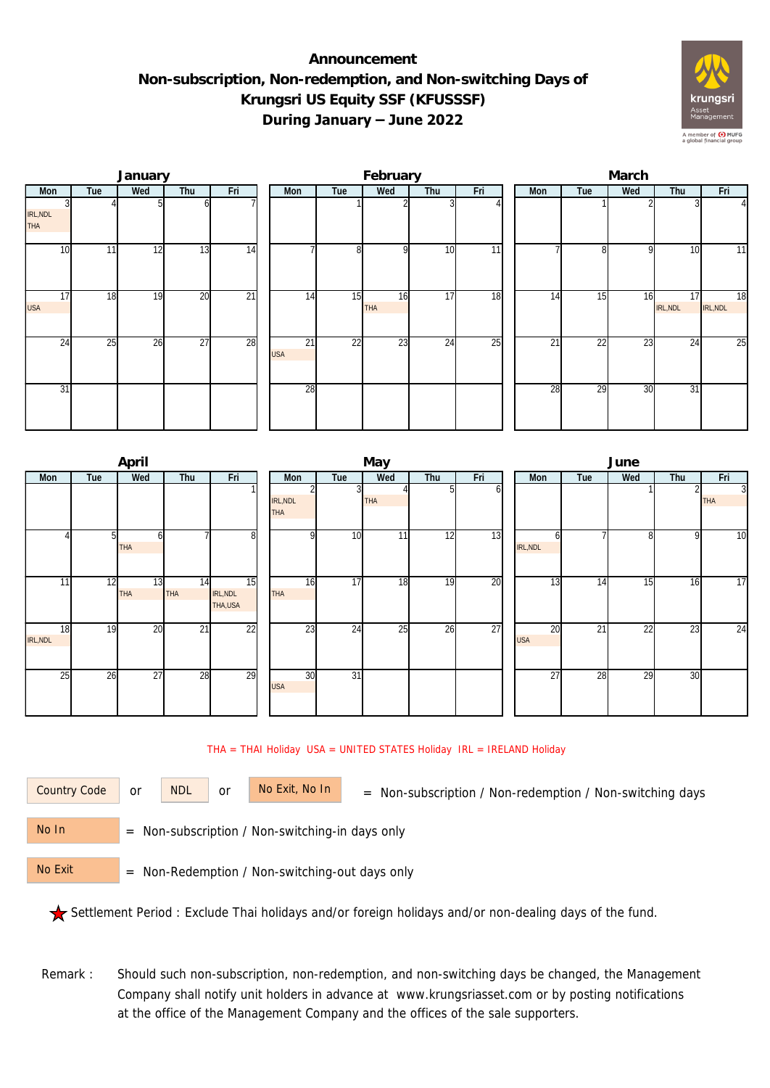## **Announcement Non-subscription, Non-redemption, and Non-switching Days of Krungsri US Equity SSF (KFUSSSF) During January – June 2022**



|                        |                 | January |                 |     |                  |     | February         |     |     | March |                 |              |                |                |  |  |
|------------------------|-----------------|---------|-----------------|-----|------------------|-----|------------------|-----|-----|-------|-----------------|--------------|----------------|----------------|--|--|
| Mon                    | Tue             | Wed     | Thu             | Fri | Mon              | Tue | Wed              | Thu | Fri | Mon   | Tue             | Wed          | Thu            | Fri            |  |  |
| IRL, NDL<br><b>THA</b> |                 |         |                 |     |                  |     |                  |     |     |       |                 |              |                | $\overline{4}$ |  |  |
| 10 <sup>1</sup>        | 11 <sub>1</sub> | 12      | 13              | 14  |                  | 8   | $\Omega$         | 10  | 11  |       |                 | <sup>Q</sup> | 10             | 11             |  |  |
| 17<br><b>USA</b>       | 18              | 19      | 20              | 21  | 14               | 15  | 16<br><b>THA</b> | 17  | 18  | 14    | $1\overline{5}$ | 16           | 17<br>IRL, NDL | 18<br>IRL, NDL |  |  |
| 24                     | 25              | 26      | $\overline{27}$ | 28  | 21<br><b>USA</b> | 22  | 23               | 24  | 25  | 21    | 22              | 23           | 24             | 25             |  |  |
| 31                     |                 |         |                 |     | 28               |     |                  |     |     | 28    | 29              | 30           | 31             |                |  |  |

|                       |     | April            |                  |                           |                        |                 | May             |     |     | June             |     |     |     |                              |  |  |
|-----------------------|-----|------------------|------------------|---------------------------|------------------------|-----------------|-----------------|-----|-----|------------------|-----|-----|-----|------------------------------|--|--|
| Mon                   | Tue | Wed              | Thu              | Fri                       | Mon                    | Tue             | Wed             | Thu | Fri | Mon              | Tue | Wed | Thu | Fri                          |  |  |
|                       |     |                  |                  |                           | IRL, NDL<br><b>THA</b> |                 | <b>THA</b>      |     | ы   |                  |     |     | 2   | $\overline{3}$<br><b>THA</b> |  |  |
|                       | 51  | ы<br><b>THA</b>  |                  | 8                         | $\Omega$               | 10              | 11 <sub>1</sub> | 12  | 13  | h<br>IRL, NDL    |     | 8   | 9   | 10                           |  |  |
| 11                    | 12  | 13<br><b>THA</b> | 14<br><b>THA</b> | 15<br>IRL, NDL<br>THA,USA | 16<br><b>THA</b>       | 17              | 18              | 19  | 20  | 13               | 14  | 15  | 16  | 17                           |  |  |
| 18<br><b>IRL, NDL</b> | 19  | 20               | $\overline{21}$  | $\overline{22}$           | 23                     | 24              | 25              | 26  | 27  | 20<br><b>USA</b> | 21  | 22  | 23  | 24                           |  |  |
| 25                    | 26  | 27               | 28               | 29                        | 30<br><b>USA</b>       | $\overline{31}$ |                 |     |     | $\overline{27}$  | 28  | 29  | 30  |                              |  |  |

## THA = THAI Holiday USA = UNITED STATES Holiday IRL = IRELAND Holiday

or NDL or

Country Code or NDL or No Exit, No In = Non-subscription / Non-redemption / Non-switching days

 = Non-subscription / Non-switching-in days only No In

 = Non-Redemption / Non-switching-out days only No Exit

Settlement Period : Exclude Thai holidays and/or foreign holidays and/or non-dealing days of the fund.

Remark : Should such non-subscription, non-redemption, and non-switching days be changed, the Management Company shall notify unit holders in advance at www.krungsriasset.com or by posting notifications at the office of the Management Company and the offices of the sale supporters.